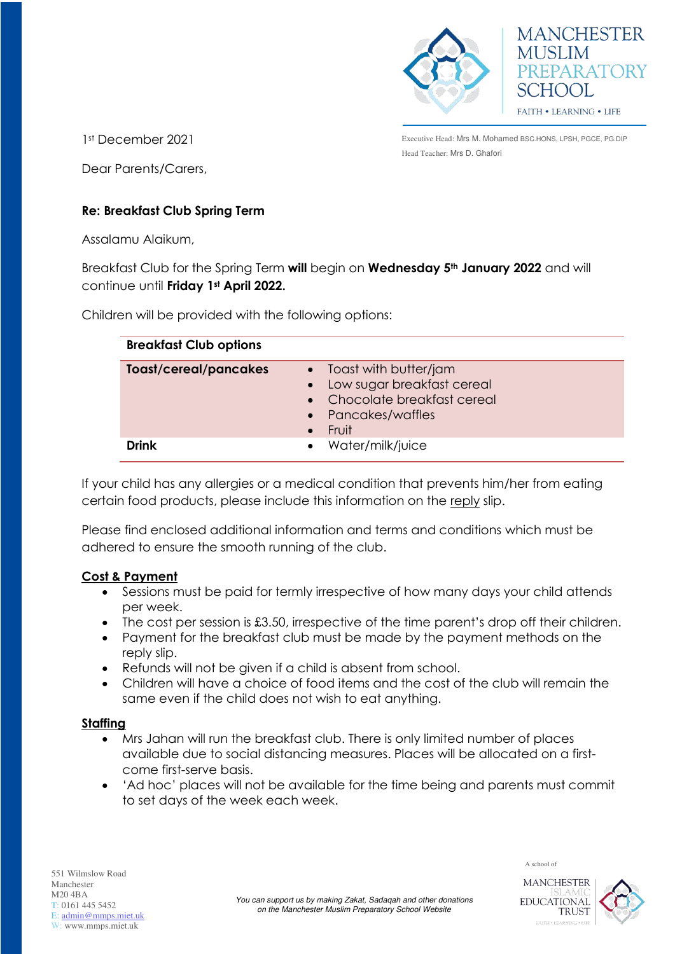



1st December 2021

Dear Parents/Carers,

Executive Head: Mrs M. Mohamed BSC.HONS, LPSH, PGCE, PG.DIP Head Teacher: Mrs D. Ghafori

# **Re: Breakfast Club Spring Term**

Assalamu Alaikum,

Breakfast Club for the Spring Term **will** begin on **Wednesday 5th January 2022** and will continue until **Friday 1st April 2022.**

Children will be provided with the following options:

| <b>Breakfast Club options</b> |                                                                                                                                |
|-------------------------------|--------------------------------------------------------------------------------------------------------------------------------|
| <b>Toast/cereal/pancakes</b>  | $\bullet$ Toast with butter/jam<br>• Low sugar breakfast cereal<br>• Chocolate breakfast cereal<br>• Pancakes/waffles<br>Fruit |
| Drink                         | • Water/milk/juice                                                                                                             |

If your child has any allergies or a medical condition that prevents him/her from eating certain food products, please include this information on the reply slip.

Please find enclosed additional information and terms and conditions which must be adhered to ensure the smooth running of the club.

### **Cost & Payment**

- Sessions must be paid for termly irrespective of how many days your child attends per week.
- The cost per session is £3.50, irrespective of the time parent's drop off their children.
- Payment for the breakfast club must be made by the payment methods on the reply slip.
- Refunds will not be given if a child is absent from school.
- Children will have a choice of food items and the cost of the club will remain the same even if the child does not wish to eat anything.

#### **Staffing**

- Mrs Jahan will run the breakfast club. There is only limited number of places available due to social distancing measures. Places will be allocated on a firstcome first-serve basis.
- 'Ad hoc' places will not be available for the time being and parents must commit to set days of the week each week.



EDUCATIONAL

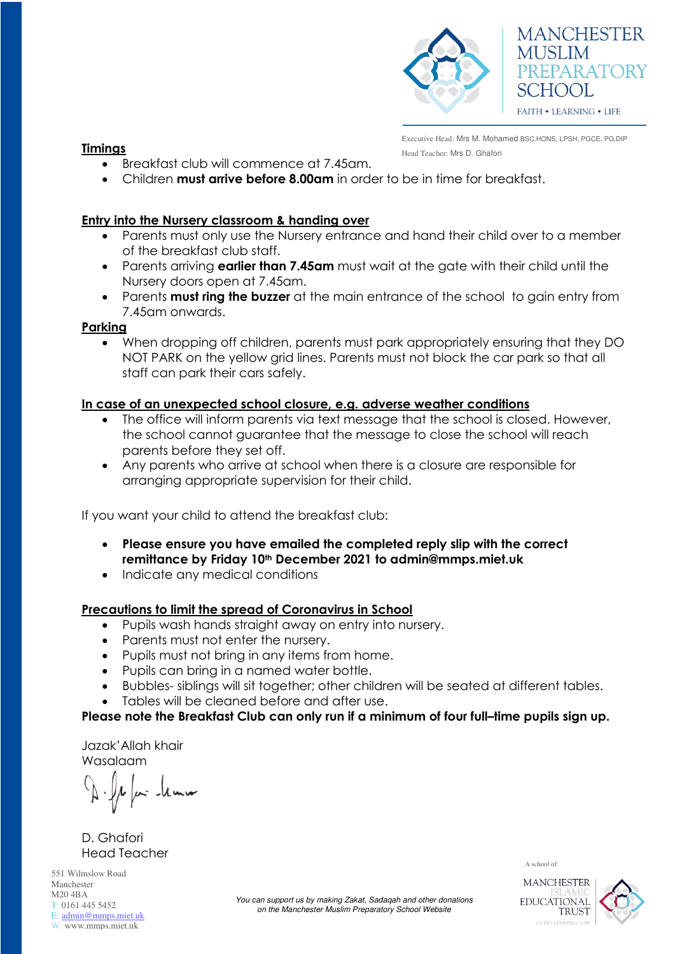

# **MANCHESTER MUSLIM** PREPARATORY SCHOOL **FAITH • LEARNING • LIFE**

Executive Head: Mrs M. Mohamed BSC.HONS, LPSH, PGCE, PG.DIP **Fimings Timings The Exercise of Teacher: Mrs D. Ghafori Teacher: Mrs D. Ghafori** 

- Breakfast club will commence at 7.45am.
- Children **must arrive before 8.00am** in order to be in time for breakfast.

## **Entry into the Nursery classroom & handing over**

- Parents must only use the Nursery entrance and hand their child over to a member of the breakfast club staff.
- Parents arriving **earlier than 7.45am** must wait at the gate with their child until the Nursery doors open at 7.45am.
- Parents **must ring the buzzer** at the main entrance of the school to gain entry from 7.45am onwards.

#### **Parking**

When dropping off children, parents must park appropriately ensuring that they DO NOT PARK on the yellow grid lines. Parents must not block the car park so that all staff can park their cars safely.

### **In case of an unexpected school closure, e.g. adverse weather conditions**

- The office will inform parents via text message that the school is closed. However, the school cannot guarantee that the message to close the school will reach parents before they set off.
- Any parents who arrive at school when there is a closure are responsible for arranging appropriate supervision for their child.

If you want your child to attend the breakfast club:

- **Please ensure you have emailed the completed reply slip with the correct remittance by Friday 10th December 2021 to admin@mmps.miet.uk**
- Indicate any medical conditions

### **Precautions to limit the spread of Coronavirus in School**

- Pupils wash hands straight away on entry into nursery.
- Parents must not enter the nursery.
- Pupils must not bring in any items from home.
- Pupils can bring in a named water bottle.
- Bubbles- siblings will sit together; other children will be seated at different tables.
- Tables will be cleaned before and after use.

### **Please note the Breakfast Club can only run if a minimum of four full–time pupils sign up.**

Jazak'Allah khair Wasalaam

D. Ghafori Head Teacher

551 Wilmslow Road Manchester M20 4BA T: 0161 445 5452 E: [admin@mmps.miet.uk](mailto:admin@mmps.miet.uk) W: www.mmps.miet.uk

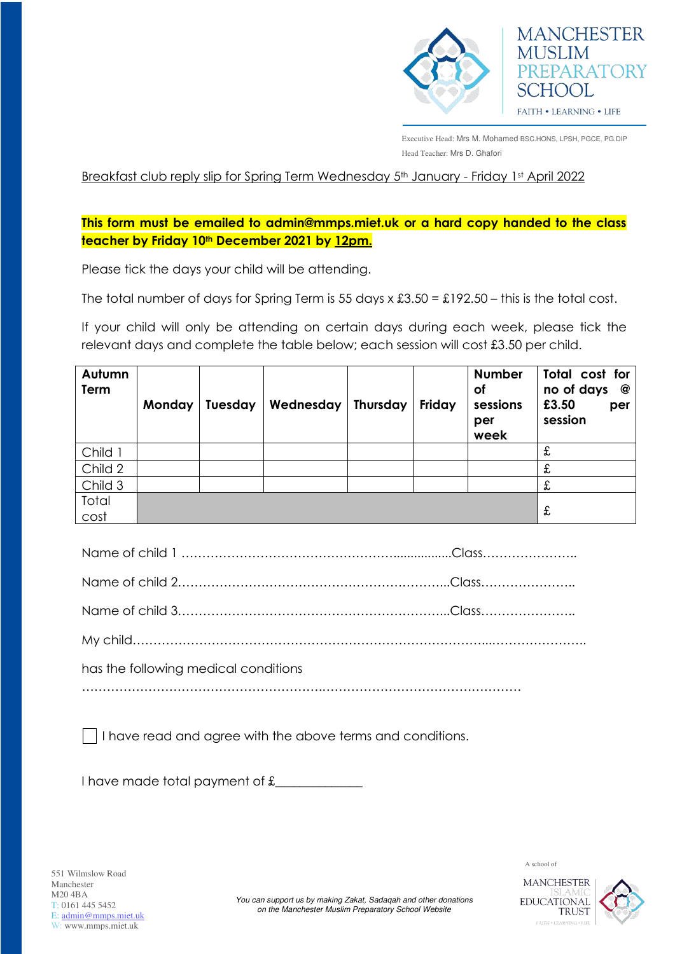



Executive Head: Mrs M. Mohamed BSC.HONS, LPSH, PGCE, PG.DIP Head Teacher: Mrs D. Ghafori

Breakfast club reply slip for Spring Term Wednesday 5<sup>th</sup> January - Friday 1st April 2022

**This form must be emailed to admin@mmps.miet.uk or a hard copy handed to the class teacher by Friday 10th December 2021 by 12pm.** 

Please tick the days your child will be attending.

The total number of days for Spring Term is 55 days  $x £3.50 = £192.50 -$  this is the total cost.

If your child will only be attending on certain days during each week, please tick the relevant days and complete the table below; each session will cost £3.50 per child.

| Autumn<br>Term | Monday | <b>Tuesday</b> | Wednesday | <b>Thursday</b> | Friday | <b>Number</b><br><b>of</b><br>sessions<br>per<br>week | Total cost for<br>no of days<br>@<br>£3.50<br>per<br>session |
|----------------|--------|----------------|-----------|-----------------|--------|-------------------------------------------------------|--------------------------------------------------------------|
| Child 1        |        |                |           |                 |        |                                                       | £                                                            |
| Child 2        |        |                |           |                 |        |                                                       | £                                                            |
| Child 3        |        |                |           |                 |        |                                                       | £                                                            |
| Total<br>cost  |        |                |           |                 |        |                                                       | £                                                            |

| has the following medical conditions |  |
|--------------------------------------|--|
|                                      |  |

I have read and agree with the above terms and conditions.

I have made total payment of  $f_{\text{max}}$